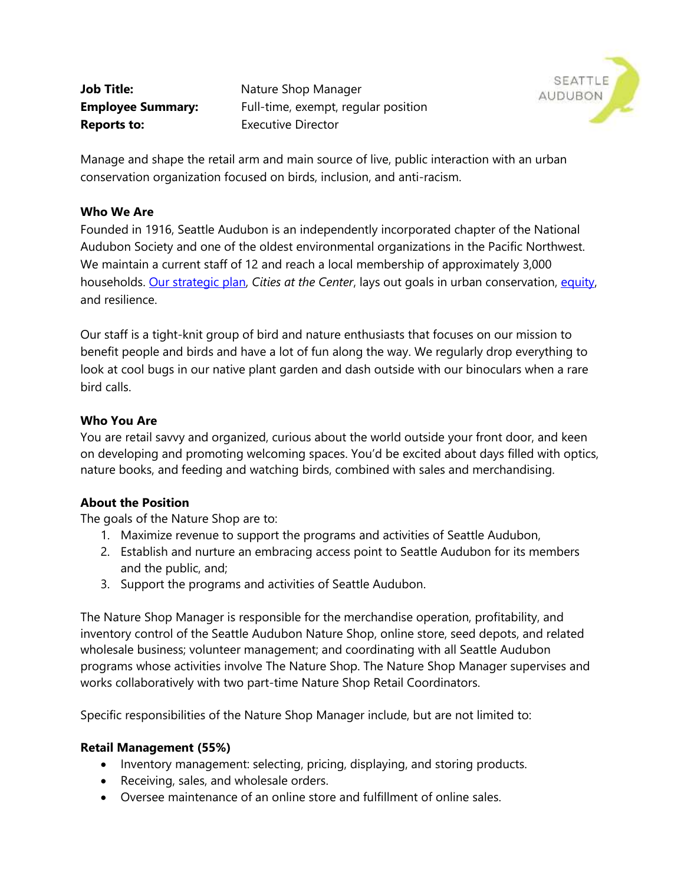**Reports to:** Executive Director

**Job Title:** Nature Shop Manager **Employee Summary:** Full-time, exempt, regular position



Manage and shape the retail arm and main source of live, public interaction with an urban conservation organization focused on birds, inclusion, and anti-racism.

### **Who We Are**

Founded in 1916, Seattle Audubon is an independently incorporated chapter of the National Audubon Society and one of the oldest environmental organizations in the Pacific Northwest. We maintain a current staff of 12 and reach a local membership of approximately 3,000 households. Our strategic plan, *Cities at the Center*, lays out goals in urban conservation, equity, and resilience.

Our staff is a tight-knit group of bird and nature enthusiasts that focuses on our mission to benefit people and birds and have a lot of fun along the way. We regularly drop everything to look at cool bugs in our native plant garden and dash outside with our binoculars when a rare bird calls.

### **Who You Are**

You are retail savvy and organized, curious about the world outside your front door, and keen on developing and promoting welcoming spaces. You'd be excited about days filled with optics, nature books, and feeding and watching birds, combined with sales and merchandising.

# **About the Position**

The goals of the Nature Shop are to:

- 1. Maximize revenue to support the programs and activities of Seattle Audubon,
- 2. Establish and nurture an embracing access point to Seattle Audubon for its members and the public, and;
- 3. Support the programs and activities of Seattle Audubon.

The Nature Shop Manager is responsible for the merchandise operation, profitability, and inventory control of the Seattle Audubon Nature Shop, online store, seed depots, and related wholesale business; volunteer management; and coordinating with all Seattle Audubon programs whose activities involve The Nature Shop. The Nature Shop Manager supervises and works collaboratively with two part-time Nature Shop Retail Coordinators.

Specific responsibilities of the Nature Shop Manager include, but are not limited to:

#### **Retail Management (55%)**

- Inventory management: selecting, pricing, displaying, and storing products.
- Receiving, sales, and wholesale orders.
- Oversee maintenance of an online store and fulfillment of online sales.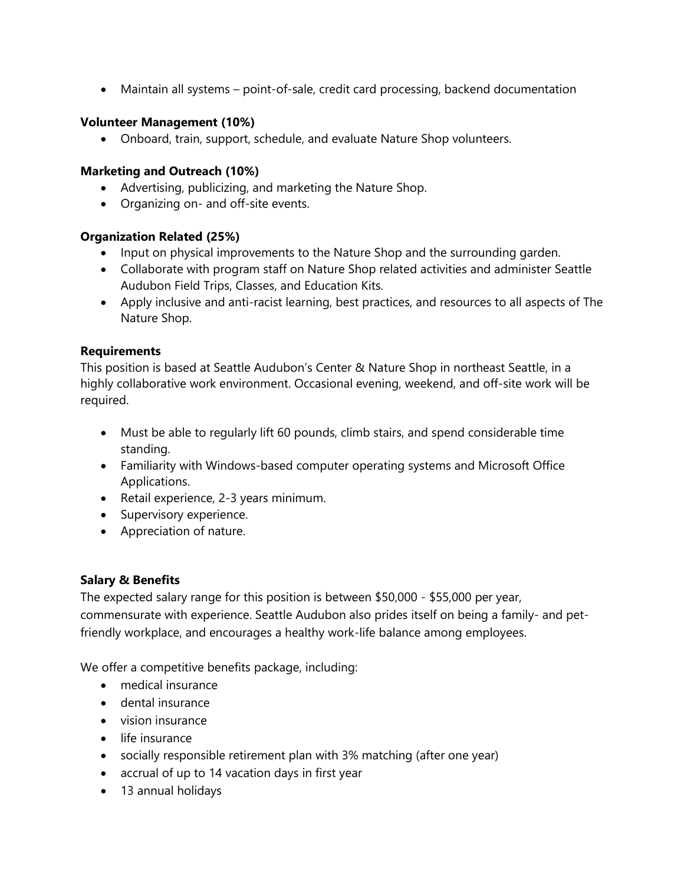• Maintain all systems – point-of-sale, credit card processing, backend documentation

## **Volunteer Management (10%)**

• Onboard, train, support, schedule, and evaluate Nature Shop volunteers.

### **Marketing and Outreach (10%)**

- Advertising, publicizing, and marketing the Nature Shop.
- Organizing on- and off-site events.

### **Organization Related (25%)**

- Input on physical improvements to the Nature Shop and the surrounding garden.
- Collaborate with program staff on Nature Shop related activities and administer Seattle Audubon Field Trips, Classes, and Education Kits.
- Apply inclusive and anti-racist learning, best practices, and resources to all aspects of The Nature Shop.

### **Requirements**

This position is based at Seattle Audubon's Center & Nature Shop in northeast Seattle, in a highly collaborative work environment. Occasional evening, weekend, and off-site work will be required.

- Must be able to regularly lift 60 pounds, climb stairs, and spend considerable time standing.
- Familiarity with Windows-based computer operating systems and Microsoft Office Applications.
- Retail experience, 2-3 years minimum.
- Supervisory experience.
- Appreciation of nature.

# **Salary & Benefits**

The expected salary range for this position is between \$50,000 - \$55,000 per year, commensurate with experience. Seattle Audubon also prides itself on being a family- and petfriendly workplace, and encourages a healthy work-life balance among employees.

We offer a competitive benefits package, including:

- medical insurance
- dental insurance
- vision insurance
- life insurance
- socially responsible retirement plan with 3% matching (after one year)
- accrual of up to 14 vacation days in first year
- 13 annual holidays